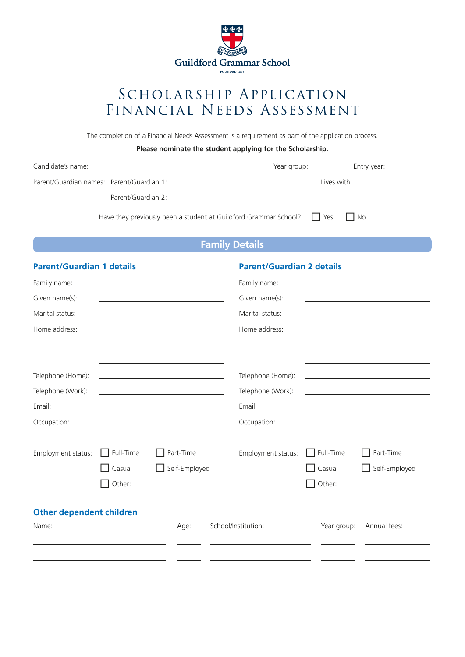

# SCHOLARSHIP APPLICATION Financial Needs Assessment

The completion of a Financial Needs Assessment is a requirement as part of the application process.

## **Please nominate the student applying for the Scholarship.**

| Candidate's name: | <u> 1980 - Antonio Alemania, prima postala de la contrada de la contrada de la contrada de la contrada de la con</u> |  |                                       |  |
|-------------------|----------------------------------------------------------------------------------------------------------------------|--|---------------------------------------|--|
|                   |                                                                                                                      |  | Lives with: _________________________ |  |
|                   |                                                                                                                      |  |                                       |  |
|                   | Have they previously been a student at Guildford Grammar School? $\Box$ Yes $\Box$ No                                |  |                                       |  |
|                   | <b>Family Details</b>                                                                                                |  |                                       |  |

## **Family Details**

| Family name:<br>Family name:<br><u> 1980 - Johann Barbara, martxa alemaniar arg</u><br>Given name(s):<br>Given name(s):<br><u> 1989 - Johann Stein, mars an de Brasilia (b. 1989)</u><br>the control of the control of the control of the control of the control of<br>Marital status:<br>Marital status:<br>the control of the control of the control of the control of the control of<br>Home address:<br>Home address:<br>the control of the control of the control of the control of the control of the control of | <b>Parent/Guardian 1 details</b> |  | <b>Parent/Guardian 2 details</b> |  |
|------------------------------------------------------------------------------------------------------------------------------------------------------------------------------------------------------------------------------------------------------------------------------------------------------------------------------------------------------------------------------------------------------------------------------------------------------------------------------------------------------------------------|----------------------------------|--|----------------------------------|--|
|                                                                                                                                                                                                                                                                                                                                                                                                                                                                                                                        |                                  |  |                                  |  |
|                                                                                                                                                                                                                                                                                                                                                                                                                                                                                                                        |                                  |  |                                  |  |
|                                                                                                                                                                                                                                                                                                                                                                                                                                                                                                                        |                                  |  |                                  |  |
|                                                                                                                                                                                                                                                                                                                                                                                                                                                                                                                        |                                  |  |                                  |  |
|                                                                                                                                                                                                                                                                                                                                                                                                                                                                                                                        |                                  |  |                                  |  |
|                                                                                                                                                                                                                                                                                                                                                                                                                                                                                                                        |                                  |  |                                  |  |
| Telephone (Home):<br>Telephone (Home):<br><u> 1989 - Johann Barbara, martin amerikan basar dan berasal dan berasal dalam basar dalam basar dalam basar dala</u>                                                                                                                                                                                                                                                                                                                                                        |                                  |  |                                  |  |
| Telephone (Work):<br>Telephone (Work):                                                                                                                                                                                                                                                                                                                                                                                                                                                                                 |                                  |  |                                  |  |
| Email:<br>Email:<br><u> 1980 - Johann Barbara, martin a</u>                                                                                                                                                                                                                                                                                                                                                                                                                                                            |                                  |  |                                  |  |
| Occupation:<br>Occupation:<br><u> 1989 - Johann Barn, fransk politik amerikansk politik (</u>                                                                                                                                                                                                                                                                                                                                                                                                                          |                                  |  |                                  |  |
|                                                                                                                                                                                                                                                                                                                                                                                                                                                                                                                        |                                  |  |                                  |  |
| Full-Time<br>$\Box$ Part-Time<br>$\Box$ Full-Time<br>Employment status:<br>Employment status:<br>Part-Time                                                                                                                                                                                                                                                                                                                                                                                                             |                                  |  |                                  |  |
| Self-Employed<br>Self-Employed<br>Casual<br>$\Box$ Casual                                                                                                                                                                                                                                                                                                                                                                                                                                                              |                                  |  |                                  |  |
| - 1                                                                                                                                                                                                                                                                                                                                                                                                                                                                                                                    |                                  |  |                                  |  |
| <b>Other dependent children</b>                                                                                                                                                                                                                                                                                                                                                                                                                                                                                        |                                  |  |                                  |  |
| School/Institution:<br>Year group:<br>Annual fees:<br>Name:<br>Age:                                                                                                                                                                                                                                                                                                                                                                                                                                                    |                                  |  |                                  |  |
|                                                                                                                                                                                                                                                                                                                                                                                                                                                                                                                        |                                  |  |                                  |  |
|                                                                                                                                                                                                                                                                                                                                                                                                                                                                                                                        |                                  |  |                                  |  |
|                                                                                                                                                                                                                                                                                                                                                                                                                                                                                                                        |                                  |  |                                  |  |
|                                                                                                                                                                                                                                                                                                                                                                                                                                                                                                                        |                                  |  |                                  |  |
|                                                                                                                                                                                                                                                                                                                                                                                                                                                                                                                        |                                  |  |                                  |  |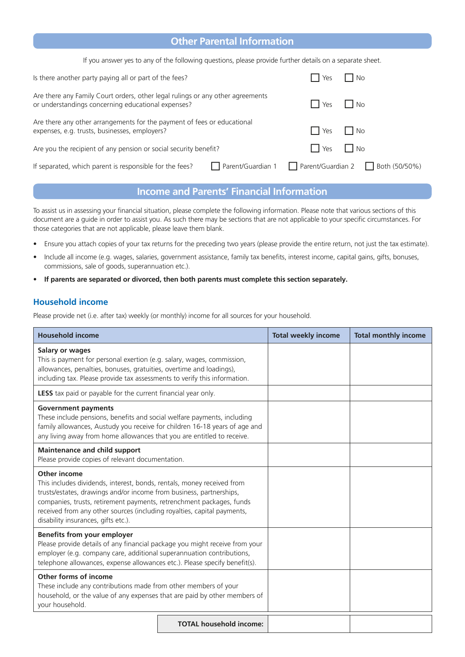# **Other Parental Information**

If you answer yes to any of the following questions, please provide further details on a separate sheet.

| Is there another party paying all or part of the fees?                                                                               | l No<br>Yes                                             |
|--------------------------------------------------------------------------------------------------------------------------------------|---------------------------------------------------------|
| Are there any Family Court orders, other legal rulings or any other agreements<br>or understandings concerning educational expenses? | IINo<br><b>Yes</b>                                      |
| Are there any other arrangements for the payment of fees or educational<br>expenses, e.g. trusts, businesses, employers?             | $\mathsf{I}$ $\mathsf{No}$<br>I Yes                     |
| Are you the recipient of any pension or social security benefit?                                                                     | $\mathsf{I}$ $\mathsf{I}$ Yes<br>l No                   |
| If separated, which parent is responsible for the fees?                                                                              | □ Parent/Guardian 1 □ Parent/Guardian 2 □ Both (50/50%) |

# **Income and Parents' Financial Information**

To assist us in assessing your financial situation, please complete the following information. Please note that various sections of this document are a guide in order to assist you. As such there may be sections that are not applicable to your specific circumstances. For those categories that are not applicable, please leave them blank.

- Ensure you attach copies of your tax returns for the preceding two years (please provide the entire return, not just the tax estimate).
- Include all income (e.g. wages, salaries, government assistance, family tax benefits, interest income, capital gains, gifts, bonuses, commissions, sale of goods, superannuation etc.).
- **If parents are separated or divorced, then both parents must complete this section separately.**

### **Household income**

Please provide net (i.e. after tax) weekly (or monthly) income for all sources for your household.

| <b>Household income</b>                                                                                                                                                                                                                                                                                                                                 |                                | <b>Total weekly income</b> | <b>Total monthly income</b> |
|---------------------------------------------------------------------------------------------------------------------------------------------------------------------------------------------------------------------------------------------------------------------------------------------------------------------------------------------------------|--------------------------------|----------------------------|-----------------------------|
| Salary or wages<br>This is payment for personal exertion (e.g. salary, wages, commission,<br>allowances, penalties, bonuses, gratuities, overtime and loadings),<br>including tax. Please provide tax assessments to verify this information.                                                                                                           |                                |                            |                             |
| <b>LESS</b> tax paid or payable for the current financial year only.                                                                                                                                                                                                                                                                                    |                                |                            |                             |
| <b>Government payments</b><br>These include pensions, benefits and social welfare payments, including<br>family allowances, Austudy you receive for children 16-18 years of age and<br>any living away from home allowances that you are entitled to receive.                                                                                           |                                |                            |                             |
| <b>Maintenance and child support</b><br>Please provide copies of relevant documentation.                                                                                                                                                                                                                                                                |                                |                            |                             |
| Other income<br>This includes dividends, interest, bonds, rentals, money received from<br>trusts/estates, drawings and/or income from business, partnerships,<br>companies, trusts, retirement payments, retrenchment packages, funds<br>received from any other sources (including royalties, capital payments,<br>disability insurances, gifts etc.). |                                |                            |                             |
| Benefits from your employer<br>Please provide details of any financial package you might receive from your<br>employer (e.g. company care, additional superannuation contributions,<br>telephone allowances, expense allowances etc.). Please specify benefit(s).                                                                                       |                                |                            |                             |
| Other forms of income<br>These include any contributions made from other members of your<br>household, or the value of any expenses that are paid by other members of<br>your household.                                                                                                                                                                |                                |                            |                             |
|                                                                                                                                                                                                                                                                                                                                                         | <b>TOTAL household income:</b> |                            |                             |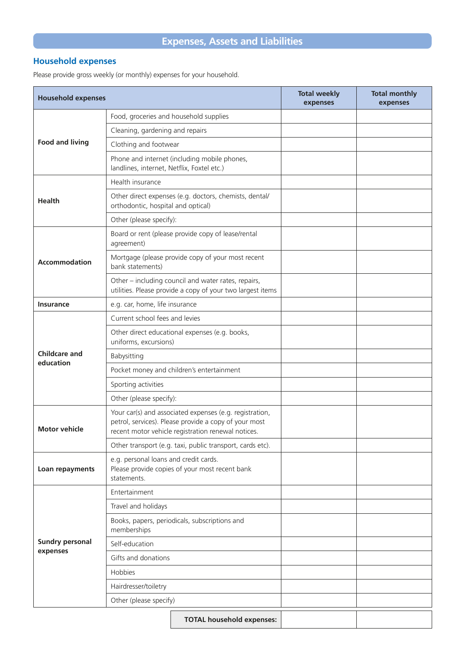# **Household expenses**

Please provide gross weekly (or monthly) expenses for your household.

| <b>Household expenses</b>          |                                                                                                                                                                        | <b>Total weekly</b><br>expenses | <b>Total monthly</b><br>expenses |
|------------------------------------|------------------------------------------------------------------------------------------------------------------------------------------------------------------------|---------------------------------|----------------------------------|
|                                    | Food, groceries and household supplies                                                                                                                                 |                                 |                                  |
|                                    | Cleaning, gardening and repairs                                                                                                                                        |                                 |                                  |
| <b>Food and living</b>             | Clothing and footwear                                                                                                                                                  |                                 |                                  |
|                                    | Phone and internet (including mobile phones,<br>landlines, internet, Netflix, Foxtel etc.)                                                                             |                                 |                                  |
|                                    | Health insurance                                                                                                                                                       |                                 |                                  |
| <b>Health</b>                      | Other direct expenses (e.g. doctors, chemists, dental/<br>orthodontic, hospital and optical)                                                                           |                                 |                                  |
|                                    | Other (please specify):                                                                                                                                                |                                 |                                  |
|                                    | Board or rent (please provide copy of lease/rental<br>agreement)                                                                                                       |                                 |                                  |
| <b>Accommodation</b>               | Mortgage (please provide copy of your most recent<br>bank statements)                                                                                                  |                                 |                                  |
|                                    | Other - including council and water rates, repairs,<br>utilities. Please provide a copy of your two largest items                                                      |                                 |                                  |
| <b>Insurance</b>                   | e.g. car, home, life insurance                                                                                                                                         |                                 |                                  |
|                                    | Current school fees and levies                                                                                                                                         |                                 |                                  |
|                                    | Other direct educational expenses (e.g. books,<br>uniforms, excursions)                                                                                                |                                 |                                  |
| <b>Childcare and</b><br>education  | Babysitting                                                                                                                                                            |                                 |                                  |
|                                    | Pocket money and children's entertainment                                                                                                                              |                                 |                                  |
|                                    | Sporting activities                                                                                                                                                    |                                 |                                  |
|                                    | Other (please specify):                                                                                                                                                |                                 |                                  |
| <b>Motor vehicle</b>               | Your car(s) and associated expenses (e.g. registration,<br>petrol, services). Please provide a copy of your most<br>recent motor vehicle registration renewal notices. |                                 |                                  |
|                                    | Other transport (e.g. taxi, public transport, cards etc).                                                                                                              |                                 |                                  |
| Loan repayments                    | e.g. personal loans and credit cards.<br>Please provide copies of your most recent bank<br>statements.                                                                 |                                 |                                  |
| <b>Sundry personal</b><br>expenses | Entertainment                                                                                                                                                          |                                 |                                  |
|                                    | Travel and holidays                                                                                                                                                    |                                 |                                  |
|                                    | Books, papers, periodicals, subscriptions and<br>memberships                                                                                                           |                                 |                                  |
|                                    | Self-education                                                                                                                                                         |                                 |                                  |
|                                    | Gifts and donations                                                                                                                                                    |                                 |                                  |
|                                    | Hobbies                                                                                                                                                                |                                 |                                  |
|                                    | Hairdresser/toiletry                                                                                                                                                   |                                 |                                  |
|                                    | Other (please specify)                                                                                                                                                 |                                 |                                  |
|                                    | <b>TOTAL household expenses:</b>                                                                                                                                       |                                 |                                  |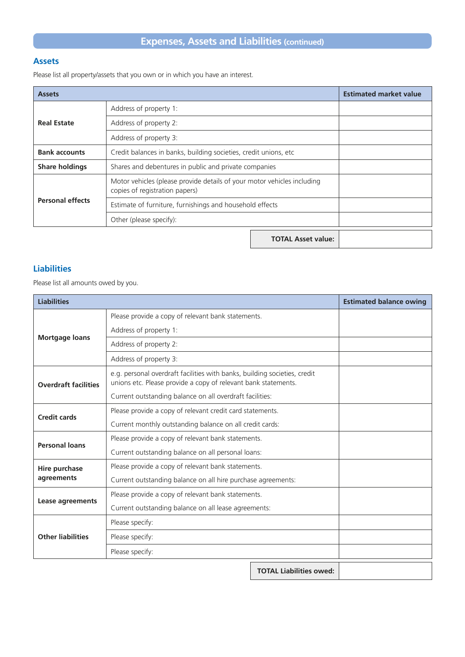# **Expenses, Assets and Liabilities (continued)**

### **Assets**

Please list all property/assets that you own or in which you have an interest.

| <b>Assets</b>           |                                                                                                           | <b>Estimated market value</b> |  |
|-------------------------|-----------------------------------------------------------------------------------------------------------|-------------------------------|--|
|                         | Address of property 1:                                                                                    |                               |  |
| <b>Real Estate</b>      | Address of property 2:                                                                                    |                               |  |
|                         | Address of property 3:                                                                                    |                               |  |
| <b>Bank accounts</b>    | Credit balances in banks, building societies, credit unions, etc                                          |                               |  |
| <b>Share holdings</b>   | Shares and debentures in public and private companies                                                     |                               |  |
|                         | Motor vehicles (please provide details of your motor vehicles including<br>copies of registration papers) |                               |  |
| <b>Personal effects</b> | Estimate of furniture, furnishings and household effects                                                  |                               |  |
|                         | Other (please specify):                                                                                   |                               |  |
|                         | <b>TOTAL Asset value:</b>                                                                                 |                               |  |

## **Liabilities**

Please list all amounts owed by you.

| <b>Liabilities</b>          |                                                                                                                                             |                                | <b>Estimated balance owing</b> |
|-----------------------------|---------------------------------------------------------------------------------------------------------------------------------------------|--------------------------------|--------------------------------|
|                             | Please provide a copy of relevant bank statements.                                                                                          |                                |                                |
|                             | Address of property 1:                                                                                                                      |                                |                                |
| <b>Mortgage loans</b>       | Address of property 2:                                                                                                                      |                                |                                |
|                             | Address of property 3:                                                                                                                      |                                |                                |
| <b>Overdraft facilities</b> | e.g. personal overdraft facilities with banks, building societies, credit<br>unions etc. Please provide a copy of relevant bank statements. |                                |                                |
|                             | Current outstanding balance on all overdraft facilities:                                                                                    |                                |                                |
| <b>Credit cards</b>         | Please provide a copy of relevant credit card statements.                                                                                   |                                |                                |
|                             | Current monthly outstanding balance on all credit cards:                                                                                    |                                |                                |
| <b>Personal loans</b>       | Please provide a copy of relevant bank statements.                                                                                          |                                |                                |
|                             | Current outstanding balance on all personal loans:                                                                                          |                                |                                |
| Hire purchase               | Please provide a copy of relevant bank statements.                                                                                          |                                |                                |
| agreements                  | Current outstanding balance on all hire purchase agreements:                                                                                |                                |                                |
| Lease agreements            | Please provide a copy of relevant bank statements.                                                                                          |                                |                                |
|                             | Current outstanding balance on all lease agreements:                                                                                        |                                |                                |
|                             | Please specify:                                                                                                                             |                                |                                |
| <b>Other liabilities</b>    | Please specify:                                                                                                                             |                                |                                |
|                             | Please specify:                                                                                                                             |                                |                                |
|                             |                                                                                                                                             | <b>TOTAL Liabilities owed:</b> |                                |